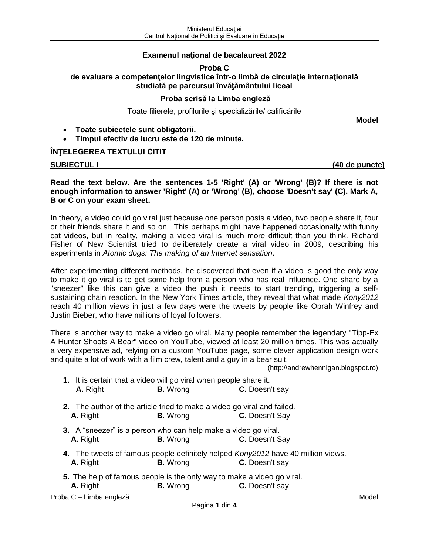# **Examenul naţional de bacalaureat 2022**

### **Proba C de evaluare a competenţelor lingvistice într-o limbă de circulaţie internaţională studiată pe parcursul învăţământului liceal**

## **Proba scrisă la Limba engleză**

Toate filierele, profilurile şi specializările/ calificările

**Model**

- **Toate subiectele sunt obligatorii.**
- **Timpul efectiv de lucru este de 120 de minute.**

## **ÎNŢELEGEREA TEXTULUI CITIT**

**SUBIECTUL I (40 de puncte)**

**Read the text below. Are the sentences 1-5 'Right' (A) or 'Wrong' (B)? If there is not enough information to answer 'Right' (A) or 'Wrong' (B), choose 'Doesn't say' (C). Mark A, B or C on your exam sheet.**

In theory, a video could go viral just because one person posts a video, two people share it, four or their friends share it and so on. This perhaps might have happened occasionally with funny cat videos, but in reality, making a video viral is much more difficult than you think. Richard Fisher of New Scientist tried to deliberately create a viral video in 2009, describing his experiments in *[Atomic dogs: The making of](http://www.newscientist.com/article/mg20427392.800-atomic-dogs-the-making-of-an-internet-sensation.html) an Internet sensation*.

After experimenting different methods, he discovered that even if a video is good the only way to make it go viral is to get some help from a person who has real influence. One share by a "sneezer" like this can give a video the push it needs to start trending, triggering a selfsustaining chain reaction. In the New York Times article, they reveal that what made *Kony2012* reach 40 million views in just a few days were the tweets by people like Oprah Winfrey and Justin Bieber, who have millions of loyal followers.

There is another way to make a video go viral. Many people remember the legendary ["Tipp-Ex](http://www.youtube.com/watch?v=4ba1BqJ4S2M)  [A Hunter Shoots A Bear"](http://www.youtube.com/watch?v=4ba1BqJ4S2M) video on YouTube, viewed at least 20 million times. This was actually a very expensive ad, relying on a custom YouTube page, some clever application design work and quite a lot of work with a film crew, talent and a guy in a bear suit.

(http://andrewhennigan.blogspot.ro)

| 1. It is certain that a video will go viral when people share it.                |                 |                |
|----------------------------------------------------------------------------------|-----------------|----------------|
| A. Right                                                                         | <b>B.</b> Wrong | C. Doesn't say |
| <b>2.</b> The author of the article tried to make a video go viral and failed.   |                 |                |
| <b>A.</b> Right                                                                  | <b>B.</b> Wrong | C. Doesn't Say |
| 3. A "sneezer" is a person who can help make a video go viral.                   |                 |                |
| A. Right                                                                         | <b>B.</b> Wrong | C. Doesn't Say |
| 4. The tweets of famous people definitely helped Kony2012 have 40 million views. |                 |                |
| A. Right                                                                         | <b>B.</b> Wrong | C. Doesn't say |
| 5. The help of famous people is the only way to make a video go viral.           |                 |                |
| A. Right                                                                         | <b>B.</b> Wrong | C. Doesn't say |

Proba C – Limba engleză Model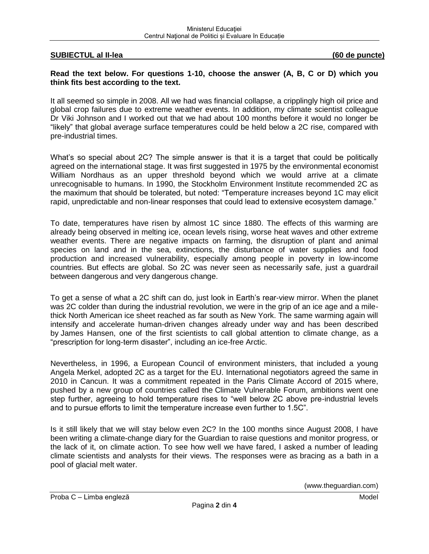#### **SUBIECTUL al II-lea (60 de puncte)**

### **Read the text below. For questions 1-10, choose the answer (A, B, C or D) which you think fits best according to the text.**

It all seemed so simple in 2008. All we had was financial collapse, a cripplingly high oil price and global crop failures due to extreme weather events. In addition, my climate scientist colleague [Dr Viki Johnson](http://www.sci.manchester.ac.uk/people/dr-victoria-johnson) and I worked out that we had about 100 months before it would no longer be "likely" that global average surface temperatures could be held below a 2C rise, compared with pre-industrial times.

What's so special about 2C? The simple answer is that it is a target that could be politically agreed on the international stage. It was first suggested in 1975 by the environmental economist William Nordhaus as an upper threshold beyond which we would arrive at a climate unrecognisable to humans. In 1990, the Stockholm Environment Institute recommended 2C as the maximum that should be tolerated, but noted: "Temperature increases beyond 1C may elicit rapid, unpredictable and non-linear responses that could lead to extensive ecosystem damage."

To date, temperatures have risen by almost 1C since 1880. The effects of this warming are already being observed in melting ice, ocean levels rising, worse heat waves and other extreme weather events. There are negative impacts on farming, the disruption of plant and animal species on land and in the sea, extinctions, the disturbance of water supplies and food production and increased vulnerability, especially among people in poverty in low-income countries. But effects are global. So 2C was never seen as necessarily safe, just a guardrail between dangerous and very dangerous change.

To get a sense of what a 2C shift can do, just look in Earth's rear-view mirror. When the planet was 2C colder than during the industrial revolution, we were in the grip of an ice age and a milethick North American ice sheet reached as far south as New York. The same warming again will intensify and accelerate human-driven changes already under way and has been described by [James Hansen,](http://www.columbia.edu/~jeh1/) one of the first scientists to call global attention to climate change, as a "prescription for long-term disaster", including an ice-free Arctic.

Nevertheless, in 1996, a European Council of environment ministers, that included a young Angela Merkel, adopted 2C as a target for the EU. International negotiators agreed the same in 2010 in Cancun. It was a commitment repeated in the Paris Climate Accord of 2015 where, pushed by a new group of countries called the [Climate Vulnerable Forum,](http://www.thecvf.org/) ambitions went one step further, agreeing to hold temperature rises to "well below 2C above pre-industrial levels and to pursue efforts to limit the temperature increase even further to 1.5C".

Is it still likely that we will stay below even 2C? In the 100 months since August 2008, I have been writing [a climate-change diary](https://www.theguardian.com/environment/series/100-months-to-save-the-world) for the Guardian to raise questions and monitor progress, or the lack of it, on climate action. To see how well we have fared, I asked a number of leading climate scientists and analysts for their views. The responses were as bracing as a bath in a pool of glacial melt water.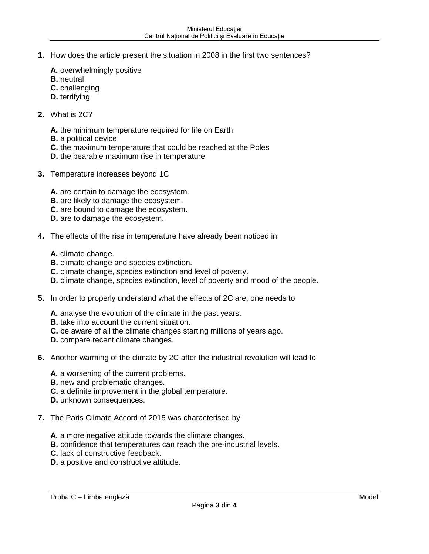- **1.** How does the article present the situation in 2008 in the first two sentences?
	- **A.** overwhelmingly positive
	- **B.** neutral
	- **C.** challenging
	- **D.** terrifying
- **2.** What is 2C?
	- **A.** the minimum temperature required for life on Earth
	- **B.** a political device
	- **C.** the maximum temperature that could be reached at the Poles
	- **D.** the bearable maximum rise in temperature
- **3.** Temperature increases beyond 1C
	- **A.** are certain to damage the ecosystem.
	- **B.** are likely to damage the ecosystem.
	- **C.** are bound to damage the ecosystem.
	- **D.** are to damage the ecosystem.
- **4.** The effects of the rise in temperature have already been noticed in
	- **A.** climate change.
	- **B.** climate change and species extinction.
	- **C.** climate change, species extinction and level of poverty.
	- **D.** climate change, species extinction, level of poverty and mood of the people.
- **5.** In order to properly understand what the effects of 2C are, one needs to
	- **A.** analyse the evolution of the climate in the past years.
	- **B.** take into account the current situation.
	- **C.** be aware of all the climate changes starting millions of years ago.
	- **D.** compare recent climate changes.
- **6.** Another warming of the climate by 2C after the industrial revolution will lead to
	- **A.** a worsening of the current problems.
	- **B.** new and problematic changes.
	- **C.** a definite improvement in the global temperature.
	- **D.** unknown consequences.
- **7.** The Paris Climate Accord of 2015 was characterised by
	- **A.** a more negative attitude towards the climate changes.
	- **B.** confidence that temperatures can reach the pre-industrial levels.
	- **C.** lack of constructive feedback.
	- **D.** a positive and constructive attitude.